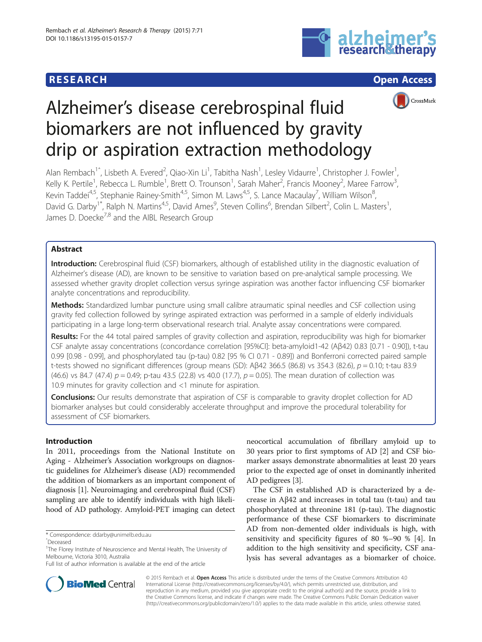## **RESEARCH CHE Open Access**





# Alzheimer's disease cerebrospinal fluid biomarkers are not influenced by gravity drip or aspiration extraction methodology

Alan Rembach<sup>1^</sup>, Lisbeth A. Evered<sup>2</sup>, Qiao-Xin Li<sup>1</sup>, Tabitha Nash<sup>1</sup>, Lesley Vidaurre<sup>1</sup>, Christopher J. Fowler<sup>1</sup> , Kelly K. Pertile<sup>1</sup>, Rebecca L. Rumble<sup>1</sup>, Brett O. Trounson<sup>1</sup>, Sarah Maher<sup>2</sup>, Francis Mooney<sup>2</sup>, Maree Farrow<sup>3</sup> , Kevin Taddei<sup>4,5</sup>, Stephanie Rainey-Smith<sup>4,5</sup>, Simon M. Laws<sup>4,5</sup>, S. Lance Macaulay<sup>7</sup>, William Wilson<sup>8</sup> , David G. Darby<sup>1\*</sup>, Ralph N. Martins<sup>4,5</sup>, David Ames<sup>9</sup>, Steven Collins<sup>6</sup>, Brendan Silbert<sup>2</sup>, Colin L. Masters<sup>1</sup> , James D. Doecke<sup>7,8</sup> and the AIBL Research Group

### Abstract

Introduction: Cerebrospinal fluid (CSF) biomarkers, although of established utility in the diagnostic evaluation of Alzheimer's disease (AD), are known to be sensitive to variation based on pre-analytical sample processing. We assessed whether gravity droplet collection versus syringe aspiration was another factor influencing CSF biomarker analyte concentrations and reproducibility.

Methods: Standardized lumbar puncture using small calibre atraumatic spinal needles and CSF collection using gravity fed collection followed by syringe aspirated extraction was performed in a sample of elderly individuals participating in a large long-term observational research trial. Analyte assay concentrations were compared.

Results: For the 44 total paired samples of gravity collection and aspiration, reproducibility was high for biomarker CSF analyte assay concentrations (concordance correlation [95%CI]: beta-amyloid1-42 (Aβ42) 0.83 [0.71 - 0.90]), t-tau 0.99 [0.98 - 0.99], and phosphorylated tau (p-tau) 0.82 [95 % CI 0.71 - 0.89]) and Bonferroni corrected paired sample t-tests showed no significant differences (group means (SD):  $\Delta\beta$ 42 366.5 (86.8) vs 354.3 (82.6), p = 0.10; t-tau 83.9 (46.6) vs 84.7 (47.4)  $p = 0.49$ ; p-tau 43.5 (22.8) vs 40.0 (17.7),  $p = 0.05$ ). The mean duration of collection was 10.9 minutes for gravity collection and <1 minute for aspiration.

**Conclusions:** Our results demonstrate that aspiration of CSF is comparable to gravity droplet collection for AD biomarker analyses but could considerably accelerate throughput and improve the procedural tolerability for assessment of CSF biomarkers.

#### Introduction

In 2011, proceedings from the National Institute on Aging - Alzheimer's Association workgroups on diagnostic guidelines for Alzheimer's disease (AD) recommended the addition of biomarkers as an important component of diagnosis [\[1](#page-6-0)]. Neuroimaging and cerebrospinal fluid (CSF) sampling are able to identify individuals with high likelihood of AD pathology. Amyloid-PET imaging can detect

\* Correspondence: [ddarby@unimelb.edu.au](mailto:ddarby@unimelb.edu.au) <sup>ˆ</sup>Deceased

neocortical accumulation of fibrillary amyloid up to 30 years prior to first symptoms of AD [[2](#page-6-0)] and CSF biomarker assays demonstrate abnormalities at least 20 years prior to the expected age of onset in dominantly inherited AD pedigrees [[3](#page-6-0)].

The CSF in established AD is characterized by a decrease in Aβ42 and increases in total tau (t-tau) and tau phosphorylated at threonine 181 (p-tau). The diagnostic performance of these CSF biomarkers to discriminate AD from non-demented older individuals is high, with sensitivity and specificity figures of 80 %–90 % [\[4\]](#page-6-0). In addition to the high sensitivity and specificity, CSF analysis has several advantages as a biomarker of choice.



© 2015 Rembach et al. Open Access This article is distributed under the terms of the Creative Commons Attribution 4.0 International License [\(http://creativecommons.org/licenses/by/4.0/](http://creativecommons.org/licenses/by/4.0/)), which permits unrestricted use, distribution, and reproduction in any medium, provided you give appropriate credit to the original author(s) and the source, provide a link to the Creative Commons license, and indicate if changes were made. The Creative Commons Public Domain Dedication waiver [\(http://creativecommons.org/publicdomain/zero/1.0/](http://creativecommons.org/publicdomain/zero/1.0/)) applies to the data made available in this article, unless otherwise stated.

<sup>&</sup>lt;sup>1</sup>The Florey Institute of Neuroscience and Mental Health, The University of Melbourne, Victoria 3010, Australia

Full list of author information is available at the end of the article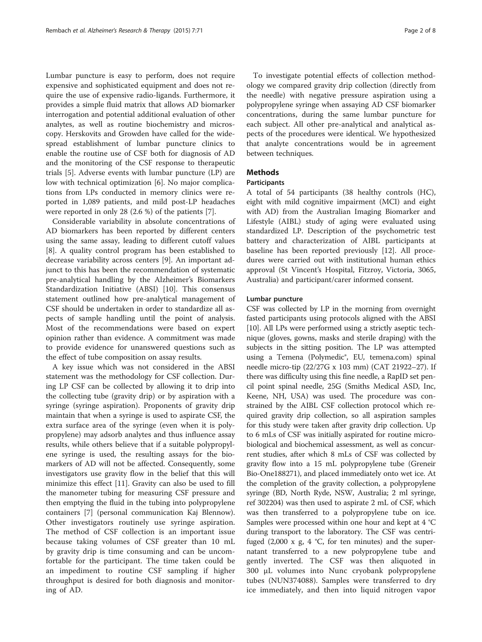Lumbar puncture is easy to perform, does not require expensive and sophisticated equipment and does not require the use of expensive radio-ligands. Furthermore, it provides a simple fluid matrix that allows AD biomarker interrogation and potential additional evaluation of other analytes, as well as routine biochemistry and microscopy. Herskovits and Growden have called for the widespread establishment of lumbar puncture clinics to enable the routine use of CSF both for diagnosis of AD and the monitoring of the CSF response to therapeutic trials [\[5](#page-6-0)]. Adverse events with lumbar puncture (LP) are low with technical optimization [[6\]](#page-6-0). No major complications from LPs conducted in memory clinics were reported in 1,089 patients, and mild post-LP headaches were reported in only 28 (2.6 %) of the patients [[7\]](#page-6-0).

Considerable variability in absolute concentrations of AD biomarkers has been reported by different centers using the same assay, leading to different cutoff values [[8\]](#page-6-0). A quality control program has been established to decrease variability across centers [\[9](#page-6-0)]. An important adjunct to this has been the recommendation of systematic pre-analytical handling by the Alzheimer's Biomarkers Standardization Initiative (ABSI) [\[10](#page-6-0)]. This consensus statement outlined how pre-analytical management of CSF should be undertaken in order to standardize all aspects of sample handling until the point of analysis. Most of the recommendations were based on expert opinion rather than evidence. A commitment was made to provide evidence for unanswered questions such as the effect of tube composition on assay results.

A key issue which was not considered in the ABSI statement was the methodology for CSF collection. During LP CSF can be collected by allowing it to drip into the collecting tube (gravity drip) or by aspiration with a syringe (syringe aspiration). Proponents of gravity drip maintain that when a syringe is used to aspirate CSF, the extra surface area of the syringe (even when it is polypropylene) may adsorb analytes and thus influence assay results, while others believe that if a suitable polypropylene syringe is used, the resulting assays for the biomarkers of AD will not be affected. Consequently, some investigators use gravity flow in the belief that this will minimize this effect [\[11\]](#page-6-0). Gravity can also be used to fill the manometer tubing for measuring CSF pressure and then emptying the fluid in the tubing into polypropylene containers [[7\]](#page-6-0) (personal communication Kaj Blennow). Other investigators routinely use syringe aspiration. The method of CSF collection is an important issue because taking volumes of CSF greater than 10 mL by gravity drip is time consuming and can be uncomfortable for the participant. The time taken could be an impediment to routine CSF sampling if higher throughput is desired for both diagnosis and monitoring of AD.

To investigate potential effects of collection methodology we compared gravity drip collection (directly from the needle) with negative pressure aspiration using a polypropylene syringe when assaying AD CSF biomarker concentrations, during the same lumbar puncture for each subject. All other pre-analytical and analytical aspects of the procedures were identical. We hypothesized that analyte concentrations would be in agreement between techniques.

#### **Methods**

#### Participants

A total of 54 participants (38 healthy controls (HC), eight with mild cognitive impairment (MCI) and eight with AD) from the Australian Imaging Biomarker and Lifestyle (AIBL) study of aging were evaluated using standardized LP. Description of the psychometric test battery and characterization of AIBL participants at baseline has been reported previously [\[12\]](#page-6-0). All procedures were carried out with institutional human ethics approval (St Vincent's Hospital, Fitzroy, Victoria, 3065, Australia) and participant/carer informed consent.

#### Lumbar puncture

CSF was collected by LP in the morning from overnight fasted participants using protocols aligned with the ABSI [[10](#page-6-0)]. All LPs were performed using a strictly aseptic technique (gloves, gowns, masks and sterile draping) with the subjects in the sitting position. The LP was attempted using a Temena (Polymedic®, EU, [temena.com\)](http://temena.com) spinal needle micro-tip (22/27G x 103 mm) (CAT 21922–27). If there was difficulty using this fine needle, a RapID set pencil point spinal needle, 25G (Smiths Medical ASD, Inc, Keene, NH, USA) was used. The procedure was constrained by the AIBL CSF collection protocol which required gravity drip collection, so all aspiration samples for this study were taken after gravity drip collection. Up to 6 mLs of CSF was initially aspirated for routine microbiological and biochemical assessment, as well as concurrent studies, after which 8 mLs of CSF was collected by gravity flow into a 15 mL polypropylene tube (Greneir Bio-One188271), and placed immediately onto wet ice. At the completion of the gravity collection, a polypropylene syringe (BD, North Ryde, NSW, Australia; 2 ml syringe, ref 302204) was then used to aspirate 2 mL of CSF, which was then transferred to a polypropylene tube on ice. Samples were processed within one hour and kept at 4 °C during transport to the laboratory. The CSF was centrifuged (2,000 x g, 4  $°C$ , for ten minutes) and the supernatant transferred to a new polypropylene tube and gently inverted. The CSF was then aliquoted in 300 μL volumes into Nunc cryobank polypropylene tubes (NUN374088). Samples were transferred to dry ice immediately, and then into liquid nitrogen vapor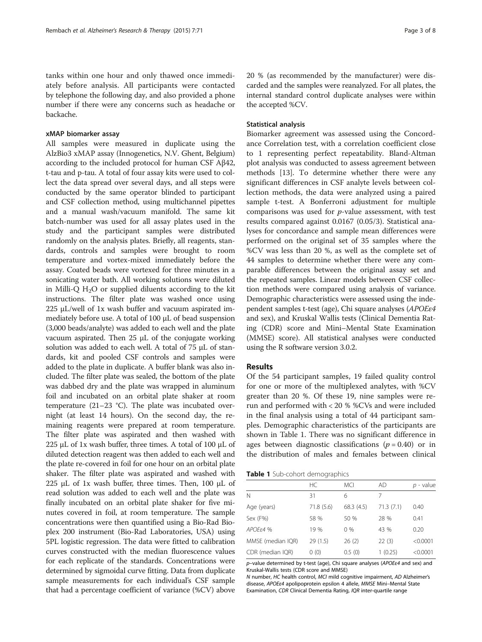tanks within one hour and only thawed once immediately before analysis. All participants were contacted by telephone the following day, and also provided a phone number if there were any concerns such as headache or backache.

#### xMAP biomarker assay

All samples were measured in duplicate using the AlzBio3 xMAP assay (Innogenetics, N.V. Ghent, Belgium) according to the included protocol for human CSF Aβ42, t-tau and p-tau. A total of four assay kits were used to collect the data spread over several days, and all steps were conducted by the same operator blinded to participant and CSF collection method, using multichannel pipettes and a manual wash/vacuum manifold. The same kit batch-number was used for all assay plates used in the study and the participant samples were distributed randomly on the analysis plates. Briefly, all reagents, standards, controls and samples were brought to room temperature and vortex-mixed immediately before the assay. Coated beads were vortexed for three minutes in a sonicating water bath. All working solutions were diluted in Milli-Q  $H_2O$  or supplied diluents according to the kit instructions. The filter plate was washed once using 225 μL/well of 1x wash buffer and vacuum aspirated immediately before use. A total of 100 μL of bead suspension (3,000 beads/analyte) was added to each well and the plate vacuum aspirated. Then 25 μL of the conjugate working solution was added to each well. A total of 75 μL of standards, kit and pooled CSF controls and samples were added to the plate in duplicate. A buffer blank was also included. The filter plate was sealed, the bottom of the plate was dabbed dry and the plate was wrapped in aluminum foil and incubated on an orbital plate shaker at room temperature (21–23 °C). The plate was incubated overnight (at least 14 hours). On the second day, the remaining reagents were prepared at room temperature. The filter plate was aspirated and then washed with 225 μL of 1x wash buffer, three times. A total of 100 μL of diluted detection reagent was then added to each well and the plate re-covered in foil for one hour on an orbital plate shaker. The filter plate was aspirated and washed with 225 μL of 1x wash buffer, three times. Then, 100 μL of read solution was added to each well and the plate was finally incubated on an orbital plate shaker for five minutes covered in foil, at room temperature. The sample concentrations were then quantified using a Bio-Rad Bioplex 200 instrument (Bio-Rad Laboratories, USA) using 5PL logistic regression. The data were fitted to calibration curves constructed with the median fluorescence values for each replicate of the standards. Concentrations were determined by sigmoidal curve fitting. Data from duplicate sample measurements for each individual's CSF sample that had a percentage coefficient of variance (%CV) above

20 % (as recommended by the manufacturer) were discarded and the samples were reanalyzed. For all plates, the internal standard control duplicate analyses were within the accepted %CV.

#### Statistical analysis

Biomarker agreement was assessed using the Concordance Correlation test, with a correlation coefficient close to 1 representing perfect repeatability. Bland-Altman plot analysis was conducted to assess agreement between methods [[13\]](#page-6-0). To determine whether there were any significant differences in CSF analyte levels between collection methods, the data were analyzed using a paired sample t-test. A Bonferroni adjustment for multiple comparisons was used for  $p$ -value assessment, with test results compared against 0.0167 (0.05/3). Statistical analyses for concordance and sample mean differences were performed on the original set of 35 samples where the %CV was less than 20 %, as well as the complete set of 44 samples to determine whether there were any comparable differences between the original assay set and the repeated samples. Linear models between CSF collection methods were compared using analysis of variance. Demographic characteristics were assessed using the independent samples t-test (age), Chi square analyses (APOEe4 and sex), and Kruskal Wallis tests (Clinical Dementia Rating (CDR) score and Mini–Mental State Examination (MMSE) score). All statistical analyses were conducted using the R software version 3.0.2.

#### Results

Of the 54 participant samples, 19 failed quality control for one or more of the multiplexed analytes, with %CV greater than 20 %. Of these 19, nine samples were rerun and performed with < 20 % %CVs and were included in the final analysis using a total of 44 participant samples. Demographic characteristics of the participants are shown in Table 1. There was no significant difference in ages between diagnostic classifications ( $p = 0.40$ ) or in the distribution of males and females between clinical

|  |  | Table 1 Sub-cohort demographics |  |  |
|--|--|---------------------------------|--|--|
|--|--|---------------------------------|--|--|

|                   | НC         | <b>MCI</b> | AD        | $p$ - value |
|-------------------|------------|------------|-----------|-------------|
| Ν                 | 31         | 6          | 7         |             |
| Age (years)       | 71.8 (5.6) | 68.3(4.5)  | 71.3(7.1) | 0.40        |
| Sex (F%)          | 58 %       | 50 %       | 28 %      | 0.41        |
| APOEε4 %          | 19 %       | $0\%$      | 43 %      | 0.20        |
| MMSE (median IQR) | 29 (1.5)   | 26(2)      | 22(3)     | < 0.0001    |
| CDR (median IQR)  | 0(0)       | 0.5(0)     | 1(0.25)   | < 0.0001    |

p–value determined by t-test (age), Chi square analyses (APOEε4 and sex) and Kruskal-Wallis tests (CDR score and MMSE)

N number, HC health control, MCI mild cognitive impairment, AD Alzheimer'<sup>s</sup> disease, APOEε4 apolipoprotein epsilon 4 allele, MMSE Mini–Mental State Examination, CDR Clinical Dementia Rating, IQR inter-quartile range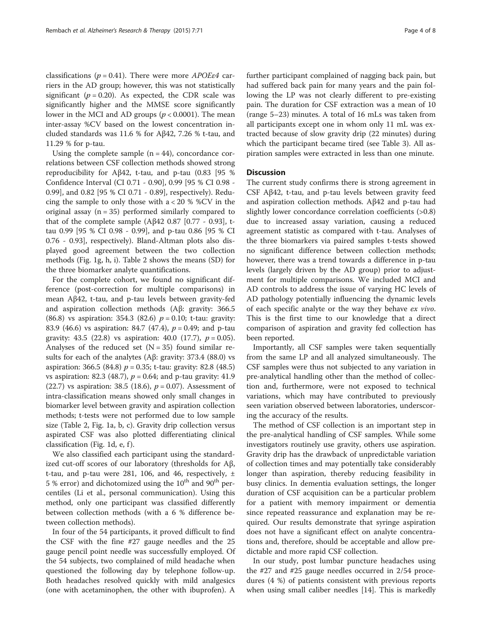classifications ( $p = 0.41$ ). There were more *APOE* $\varepsilon$ 4 carriers in the AD group; however, this was not statistically significant ( $p = 0.20$ ). As expected, the CDR scale was significantly higher and the MMSE score significantly lower in the MCI and AD groups ( $p < 0.0001$ ). The mean inter-assay %CV based on the lowest concentration included standards was 11.6 % for Aβ42, 7.26 % t-tau, and 11.29 % for p-tau.

Using the complete sample  $(n = 44)$ , concordance correlations between CSF collection methods showed strong reproducibility for Aβ42, t-tau, and p-tau (0.83 [95 % Confidence Interval (CI 0.71 - 0.90], 0.99 [95 % CI 0.98 - 0.99], and 0.82 [95 % CI 0.71 - 0.89], respectively). Reducing the sample to only those with  $a < 20$  % %CV in the original assay  $(n = 35)$  performed similarly compared to that of the complete sample (Aβ42 0.87 [0.77 - 0.93], ttau 0.99 [95 % CI 0.98 - 0.99], and p-tau 0.86 [95 % CI 0.76 - 0.93], respectively). Bland-Altman plots also displayed good agreement between the two collection methods (Fig. [1g, h,](#page-4-0) i). Table [2](#page-4-0) shows the means (SD) for the three biomarker analyte quantifications.

For the complete cohort, we found no significant difference (post-correction for multiple comparisons) in mean Aβ42, t-tau, and p-tau levels between gravity-fed and aspiration collection methods (Aβ: gravity: 366.5 (86.8) vs aspiration: 354.3 (82.6)  $p = 0.10$ ; t-tau: gravity: 83.9 (46.6) vs aspiration: 84.7 (47.4),  $p = 0.49$ ; and p-tau gravity: 43.5 (22.8) vs aspiration: 40.0 (17.7),  $p = 0.05$ ). Analyses of the reduced set  $(N = 35)$  found similar results for each of the analytes (Aβ: gravity: 373.4 (88.0) vs aspiration: 366.5 (84.8)  $p = 0.35$ ; t-tau: gravity: 82.8 (48.5) vs aspiration: 82.3 (48.7),  $p = 0.64$ ; and p-tau gravity: 41.9 (22.7) vs aspiration: 38.5 (18.6),  $p = 0.07$ ). Assessment of intra-classification means showed only small changes in biomarker level between gravity and aspiration collection methods; t-tests were not performed due to low sample size (Table [2](#page-4-0), Fig. [1a, b, c\)](#page-4-0). Gravity drip collection versus aspirated CSF was also plotted differentiating clinical classification (Fig. [1d, e, f](#page-4-0)).

We also classified each participant using the standardized cut-off scores of our laboratory (thresholds for Aβ, t-tau, and p-tau were 281, 106, and 46, respectively,  $\pm$ 5 % error) and dichotomized using the  $10^{th}$  and  $90^{th}$  percentiles (Li et al., personal communication). Using this method, only one participant was classified differently between collection methods (with a 6 % difference between collection methods).

In four of the 54 participants, it proved difficult to find the CSF with the fine #27 gauge needles and the 25 gauge pencil point needle was successfully employed. Of the 54 subjects, two complained of mild headache when questioned the following day by telephone follow-up. Both headaches resolved quickly with mild analgesics (one with acetaminophen, the other with ibuprofen). A

further participant complained of nagging back pain, but had suffered back pain for many years and the pain following the LP was not clearly different to pre-existing pain. The duration for CSF extraction was a mean of 10 (range 5–23) minutes. A total of 16 mLs was taken from all participants except one in whom only 11 mL was extracted because of slow gravity drip (22 minutes) during which the participant became tired (see Table [3](#page-5-0)). All aspiration samples were extracted in less than one minute.

#### **Discussion**

The current study confirms there is strong agreement in CSF Aβ42, t-tau, and p-tau levels between gravity feed and aspiration collection methods. Aβ42 and p-tau had slightly lower concordance correlation coefficients (>0.8) due to increased assay variation, causing a reduced agreement statistic as compared with t-tau. Analyses of the three biomarkers via paired samples t-tests showed no significant difference between collection methods; however, there was a trend towards a difference in p-tau levels (largely driven by the AD group) prior to adjustment for multiple comparisons. We included MCI and AD controls to address the issue of varying HC levels of AD pathology potentially influencing the dynamic levels of each specific analyte or the way they behave ex vivo. This is the first time to our knowledge that a direct comparison of aspiration and gravity fed collection has been reported.

Importantly, all CSF samples were taken sequentially from the same LP and all analyzed simultaneously. The CSF samples were thus not subjected to any variation in pre-analytical handling other than the method of collection and, furthermore, were not exposed to technical variations, which may have contributed to previously seen variation observed between laboratories, underscoring the accuracy of the results.

The method of CSF collection is an important step in the pre-analytical handling of CSF samples. While some investigators routinely use gravity, others use aspiration. Gravity drip has the drawback of unpredictable variation of collection times and may potentially take considerably longer than aspiration, thereby reducing feasibility in busy clinics. In dementia evaluation settings, the longer duration of CSF acquisition can be a particular problem for a patient with memory impairment or dementia since repeated reassurance and explanation may be required. Our results demonstrate that syringe aspiration does not have a significant effect on analyte concentrations and, therefore, should be acceptable and allow predictable and more rapid CSF collection.

In our study, post lumbar puncture headaches using the #27 and #25 gauge needles occurred in 2/54 procedures (4 %) of patients consistent with previous reports when using small caliber needles [[14](#page-6-0)]. This is markedly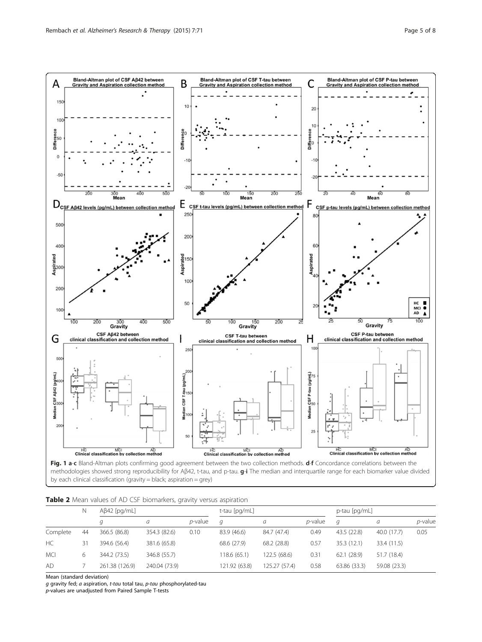<span id="page-4-0"></span>

Fig. 1 a-c Bland-Altman plots confirming good agreement between the two collection methods. d-f Concordance correlations between the methodologies showed strong reproducibility for Aβ42, t-tau, and p-tau. g-i The median and interquartile range for each biomarker value divided by each clinical classification (gravity = black; aspiration =  $grey$ )

| Table 2 Mean values of AD CSF biomarkers, gravity versus aspiration |  |  |
|---------------------------------------------------------------------|--|--|
|---------------------------------------------------------------------|--|--|

|            | N  | $A\beta42$ [pg/mL] |               |                 | t-tau [pg/mL] |               |                 | p-tau [pg/mL] |              |            |
|------------|----|--------------------|---------------|-----------------|---------------|---------------|-----------------|---------------|--------------|------------|
|            |    | g                  | a             | <i>p</i> -value | a             | a             | <i>p</i> -value | a             | a            | $p$ -value |
| Complete   | 44 | 366.5 (86.8)       | 354.3 (82.6)  | 0.10            | 83.9 (46.6)   | 84.7 (47.4)   | 0.49            | 43.5 (22.8)   | 40.0 (17.7)  | 0.05       |
| HC         | 31 | 394.6 (56.4)       | 381.6 (65.8)  |                 | 68.6 (27.9)   | 68.2 (28.8)   | 0.57            | 35.3 (12.1)   | 33.4 (11.5)  |            |
| <b>MCI</b> | 6  | 344.2 (73.5)       | 346.8 (55.7)  |                 | 118.6 (65.1)  | 122.5 (68.6)  | 0.31            | 62.1(28.9)    | 51.7 (18.4)  |            |
| <b>AD</b>  |    | 261.38 (126.9)     | 240.04 (73.9) |                 | 121.92 (63.8) | 125.27 (57.4) | 0.58            | 63.86 (33.3)  | 59.08 (23.3) |            |

Mean (standard deviation)

g gravity fed; a aspiration, t-tau total tau, p-tau phosphorylated-tau

p-values are unadjusted from Paired Sample T-tests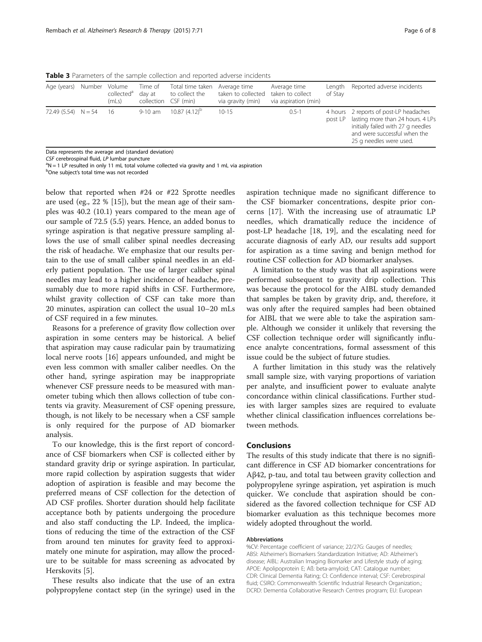| Age (years)<br>Number Volume<br>collected <sup>a</sup><br>(mLs) | Time of<br>dav at | Total time taken<br>to collect the<br>collection CSF (min) | Average time<br>taken to collected<br>via gravity (min) | Average time<br>taken to collect<br>via aspiration (min) | of Stay | Length Reported adverse incidents                                                                                                                                            |
|-----------------------------------------------------------------|-------------------|------------------------------------------------------------|---------------------------------------------------------|----------------------------------------------------------|---------|------------------------------------------------------------------------------------------------------------------------------------------------------------------------------|
|                                                                 |                   |                                                            |                                                         |                                                          |         |                                                                                                                                                                              |
| $72.49(5.54)$ N = 54<br>- 16                                    | $9-10$ am         | $10.87(4.12)^{D}$                                          | $10 - 15$                                               | $0.5 - 1$                                                | post LP | 4 hours 2 reports of post-LP headaches<br>lasting more than 24 hours. 4 LPs<br>initially failed with 27 g needles<br>and were successful when the<br>25 g needles were used. |

<span id="page-5-0"></span>**Table 3** Parameters of the sample collection and reported adverse incidents

Data represents the average and (standard deviation)

CSF cerebrospinal fluid, LP lumbar puncture<br>ªN = 1 LP resulted in only 11 mL total volume collected via gravity and 1 mL via aspiration

<sup>b</sup>One subject's total time was not recorded

below that reported when #24 or #22 Sprotte needles are used (eg., 22 % [\[15](#page-6-0)]), but the mean age of their samples was 40.2 (10.1) years compared to the mean age of our sample of 72.5 (5.5) years. Hence, an added bonus to syringe aspiration is that negative pressure sampling allows the use of small caliber spinal needles decreasing the risk of headache. We emphasize that our results pertain to the use of small caliber spinal needles in an elderly patient population. The use of larger caliber spinal needles may lead to a higher incidence of headache, presumably due to more rapid shifts in CSF. Furthermore, whilst gravity collection of CSF can take more than 20 minutes, aspiration can collect the usual 10–20 mLs of CSF required in a few minutes.

Reasons for a preference of gravity flow collection over aspiration in some centers may be historical. A belief that aspiration may cause radicular pain by traumatizing local nerve roots [\[16](#page-6-0)] appears unfounded, and might be even less common with smaller caliber needles. On the other hand, syringe aspiration may be inappropriate whenever CSF pressure needs to be measured with manometer tubing which then allows collection of tube contents via gravity. Measurement of CSF opening pressure, though, is not likely to be necessary when a CSF sample is only required for the purpose of AD biomarker analysis.

To our knowledge, this is the first report of concordance of CSF biomarkers when CSF is collected either by standard gravity drip or syringe aspiration. In particular, more rapid collection by aspiration suggests that wider adoption of aspiration is feasible and may become the preferred means of CSF collection for the detection of AD CSF profiles. Shorter duration should help facilitate acceptance both by patients undergoing the procedure and also staff conducting the LP. Indeed, the implications of reducing the time of the extraction of the CSF from around ten minutes for gravity feed to approximately one minute for aspiration, may allow the procedure to be suitable for mass screening as advocated by Herskovits [\[5](#page-6-0)].

These results also indicate that the use of an extra polypropylene contact step (in the syringe) used in the aspiration technique made no significant difference to the CSF biomarker concentrations, despite prior concerns [[17\]](#page-6-0). With the increasing use of atraumatic LP needles, which dramatically reduce the incidence of post-LP headache [\[18](#page-7-0), [19](#page-7-0)], and the escalating need for accurate diagnosis of early AD, our results add support for aspiration as a time saving and benign method for routine CSF collection for AD biomarker analyses.

A limitation to the study was that all aspirations were performed subsequent to gravity drip collection. This was because the protocol for the AIBL study demanded that samples be taken by gravity drip, and, therefore, it was only after the required samples had been obtained for AIBL that we were able to take the aspiration sample. Although we consider it unlikely that reversing the CSF collection technique order will significantly influence analyte concentrations, formal assessment of this issue could be the subject of future studies.

A further limitation in this study was the relatively small sample size, with varying proportions of variation per analyte, and insufficient power to evaluate analyte concordance within clinical classifications. Further studies with larger samples sizes are required to evaluate whether clinical classification influences correlations between methods.

#### Conclusions

The results of this study indicate that there is no significant difference in CSF AD biomarker concentrations for Aβ42, p-tau, and total tau between gravity collection and polypropylene syringe aspiration, yet aspiration is much quicker. We conclude that aspiration should be considered as the favored collection technique for CSF AD biomarker evaluation as this technique becomes more widely adopted throughout the world.

#### Abbreviations

%CV: Percentage coefficient of variance; 22/27G: Gauges of needles; ABSI: Alzheimer's Biomarkers Standardization Initiative; AD: Alzheimer's disease; AIBL: Australian Imaging Biomarker and Lifestyle study of aging; APOE: Apolipoprotein E; Aß: beta-amyloid; CAT: Catalogue number; CDR: Clinical Dementia Rating; CI: Confidence interval; CSF: Cerebrospinal fluid; CSIRO: Commonwealth Scientific Industrial Research Organization.; DCRD: Dementia Collaborative Research Centres program; EU: European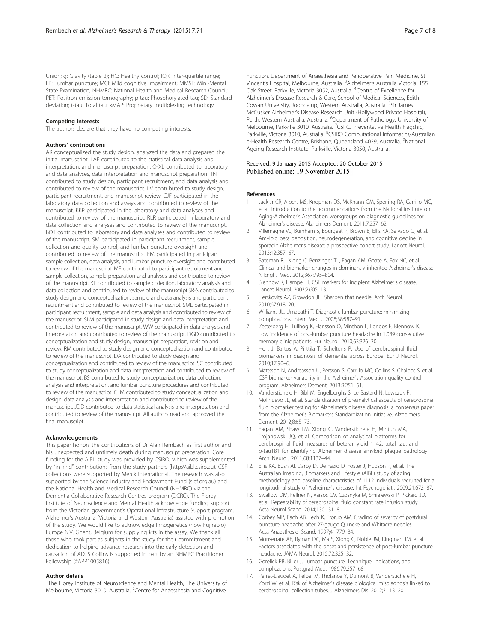<span id="page-6-0"></span>Union; g: Gravity (table 2); HC: Healthy control; IQR: Inter-quartile range; LP: Lumbar puncture; MCI: Mild cognitive impairment; MMSE: Mini-Mental State Examination; NHMRC: National Health and Medical Research Council; PET: Positron emission tomography; p-tau: Phosphorylated tau; SD: Standard deviation; t-tau: Total tau; xMAP: Proprietary multiplexing technology.

#### Competing interests

The authors declare that they have no competing interests.

#### Authors' contributions

AR conceptualized the study design, analyzed the data and prepared the initial manuscript. LAE contributed to the statistical data analysis and interpretation, and manuscript preparation. Q-XL contributed to laboratory and data analyses, data interpretation and manuscript preparation. TN contributed to study design, participant recruitment, and data analysis and contributed to review of the manuscript. LV contributed to study design, participant recruitment, and manuscript review. CJF participated in the laboratory data collection and assays and contributed to review of the manuscript. KKP participated in the laboratory and data analyses and contributed to review of the manuscript. RLR participated in laboratory and data collection and analyses and contributed to review of the manuscript. BOT contributed to laboratory and data analyses and contributed to review of the manuscript. SM participated in participant recruitment, sample collection and quality control, and lumbar puncture oversight and contributed to review of the manuscript. FM participated in participant sample collection, data analysis, and lumbar puncture oversight and contributed to review of the manuscript. MF contributed to participant recruitment and sample collection, sample preparation and analyses and contributed to review of the manuscript. KT contributed to sample collection, laboratory analysis and data collection and contributed to review of the manuscript.SR-S contributed to study design and conceptualization, sample and data analysis and participant recruitment and contributed to review of the manuscript. SML participated in participant recruitment, sample and data analysis and contributed to review of the manuscript. SLM participated in study design and data interpretation and contributed to review of the manuscript. WW participated in data analysis and interpretation and contributed to review of the manuscript. DGD contributed to conceptualization and study design, manuscript preparation, revision and review. RM contributed to study design and conceptualization and contributed to review of the manuscript. DA contributed to study design and conceptualization and contributed to review of the manuscript. SC contributed to study conceptualization and data interpretation and contributed to review of the manuscript. BS contributed to study conceptualization, data collection, analysis and interpretation, and lumbar puncture procedures and contributed to review of the manuscript. CLM contributed to study conceptualization and design, data analysis and interpretation and contributed to review of the manuscript. JDD contributed to data statistical analysis and interpretation and contributed to review of the manuscript. All authors read and approved the final manuscript.

#### Acknowledgements

This paper honors the contributions of Dr Alan Rembach as first author and his unexpected and untimely death during manuscript preparation. Core funding for the AIBL study was provided by CSIRO, which was supplemented by "in kind" contributions from the study partners [\(http://aibl.csiro.au](http://aibl.csiro.au/)). CSF collections were supported by Merck International. The research was also supported by the Science Industry and Endowment Fund (sief.org.au) and the National Health and Medical Research Council (NHMRC) via the Dementia Collaborative Research Centres program (DCRC). The Florey Institute of Neuroscience and Mental Health acknowledge funding support from the Victorian government's Operational Infrastructure Support program. Alzheimer's Australia (Victoria and Western Australia) assisted with promotion of the study. We would like to acknowledge Innogenetics (now Fujirebio) Europe N.V. Ghent, Belgium for supplying kits in the assay. We thank all those who took part as subjects in the study for their commitment and dedication to helping advance research into the early detection and causation of AD. S Collins is supported in part by an NHMRC Practitioner Fellowship (#APP1005816).

#### Author details

<sup>1</sup>The Florey Institute of Neuroscience and Mental Health, The University of Melbourne, Victoria 3010, Australia. <sup>2</sup>Centre for Anaesthesia and Cognitive

McCusker Alzheimer's Disease Research Unit (Hollywood Private Hospital), Perth, Western Australia, Australia. <sup>6</sup>Department of Pathology, University of Melbourne, Parkville 3010, Australia. <sup>7</sup>CSIRO Preventative Health Flagship, Parkville, Victoria 3010, Australia. <sup>8</sup>CSIRO Computational Informatics/Australian e-Health Research Centre, Brisbane, Queensland 4029, Australia. <sup>9</sup>National Ageing Research Institute, Parkville, Victoria 3050, Australia.

#### Received: 9 January 2015 Accepted: 20 October 2015 Published online: 19 November 2015

#### References

- 1. Jack Jr CR, Albert MS, Knopman DS, McKhann GM, Sperling RA, Carrillo MC, et al. Introduction to the recommendations from the National Institute on Aging-Alzheimer's Association workgroups on diagnostic guidelines for Alzheimer's disease. Alzheimers Dement. 2011;7:257–62.
- 2. Villemagne VL, Burnham S, Bourgeat P, Brown B, Ellis KA, Salvado O, et al. Amyloid beta deposition, neurodegeneration, and cognitive decline in sporadic Alzheimer's disease: a prospective cohort study. Lancet Neurol. 2013;12:357–67.
- Bateman RJ, Xiong C, Benzinger TL, Fagan AM, Goate A, Fox NC, et al. Clinical and biomarker changes in dominantly inherited Alzheimer's disease. N Engl J Med. 2012;367:795–804.
- 4. Blennow K, Hampel H. CSF markers for incipient Alzheimer's disease. Lancet Neurol. 2003;2:605–13.
- 5. Herskovits AZ, Growdon JH. Sharpen that needle. Arch Neurol. 2010;67:918–20.
- 6. Williams JL, Umapathi T. Diagnostic lumbar puncture: minimizing complications. Intern Med J. 2008;38:587–91.
- 7. Zetterberg H, Tullhog K, Hansson O, Minthon L, Londos E, Blennow K. Low incidence of post-lumbar puncture headache in 1,089 consecutive memory clinic patients. Eur Neurol. 2010;63:326–30.
- 8. Hort J, Bartos A, Pirttila T, Scheltens P. Use of cerebrospinal fluid biomarkers in diagnosis of dementia across Europe. Eur J Neurol. 2010;17:90–6.
- 9. Mattsson N, Andreasson U, Persson S, Carrillo MC, Collins S, Chalbot S, et al. CSF biomarker variability in the Alzheimer's Association quality control program. Alzheimers Dement. 2013;9:251–61.
- 10. Vanderstichele H, Bibl M, Engelborghs S, Le Bastard N, Lewczuk P, Molinuevo JL, et al. Standardization of preanalytical aspects of cerebrospinal fluid biomarker testing for Alzheimer's disease diagnosis: a consensus paper from the Alzheimer's Biomarkers Standardization Initiative. Alzheimers Dement. 2012;8:65–73.
- 11. Fagan AM, Shaw LM, Xiong C, Vanderstichele H, Mintun MA, Trojanowski JQ, et al. Comparison of analytical platforms for cerebrospinal fluid measures of beta-amyloid 1–42, total tau, and p-tau181 for identifying Alzheimer disease amyloid plaque pathology. Arch Neurol. 2011;68:1137–44.
- 12. Ellis KA, Bush AI, Darby D, De Fazio D, Foster J, Hudson P, et al. The Australian Imaging, Biomarkers and Lifestyle (AIBL) study of aging: methodology and baseline characteristics of 1112 individuals recruited for a longitudinal study of Alzheimer's disease. Int Psychogeriatr. 2009;21:672–87.
- 13. Swallow DM, Fellner N, Varsos GV, Czosnyka M, Smielewski P, Pickard JD, et al. Repeatability of cerebrospinal fluid constant rate infusion study. Acta Neurol Scand. 2014;130:131–8.
- 14. Corbey MP, Bach AB, Lech K, Frorup AM. Grading of severity of postdural puncture headache after 27-gauge Quincke and Whitacre needles. Acta Anaesthesiol Scand. 1997;41:779–84.
- 15. Monserrate AE, Ryman DC, Ma S, Xiong C, Noble JM, Ringman JM, et al. Factors associated with the onset and persistence of post-lumbar puncture headache. JAMA Neurol. 2015;72:325–32.
- 16. Gorelick PB, Biller J. Lumbar puncture. Technique, indications, and complications. Postgrad Med. 1986;79:257–68.
- 17. Perret-Liaudet A, Pelpel M, Tholance Y, Dumont B, Vanderstichele H, Zorzi W, et al. Risk of Alzheimer's disease biological misdiagnosis linked to cerebrospinal collection tubes. J Alzheimers Dis. 2012;31:13–20.